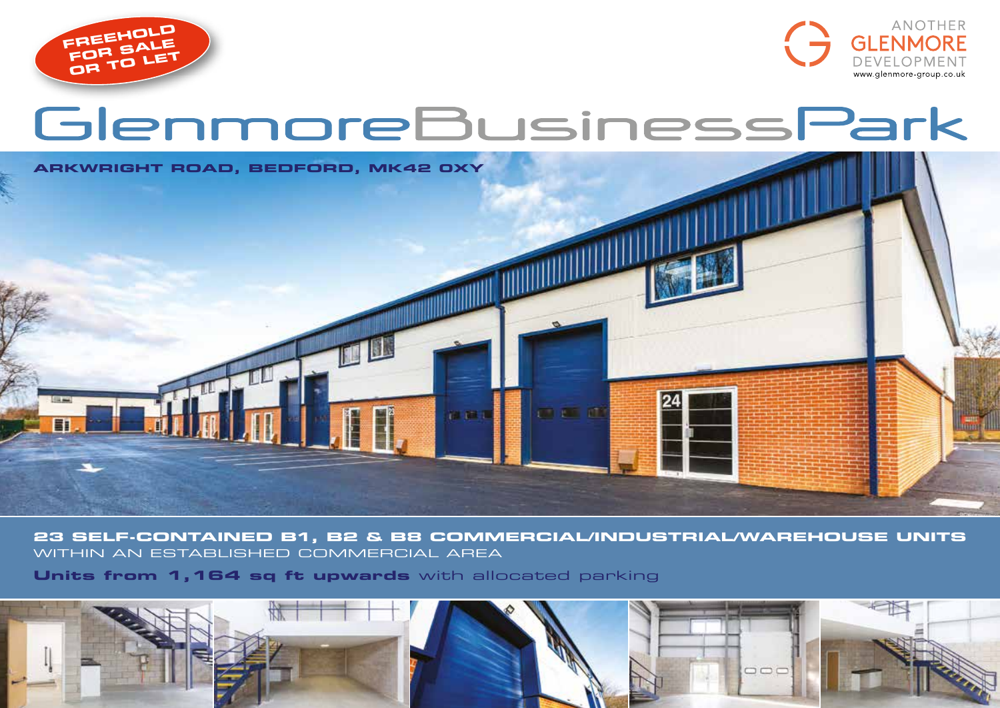



# GlenmoreBusinessPark



**23 SELF-CONTAINED B1, B2 & B8 COMMERCIAL/INDUSTRIAL/WAREHOUSE UNITS** WITHIN AN ESTABLISHED COMMERCIAL AREA

**Units from 1,164 sq ft upwards** with allocated parking